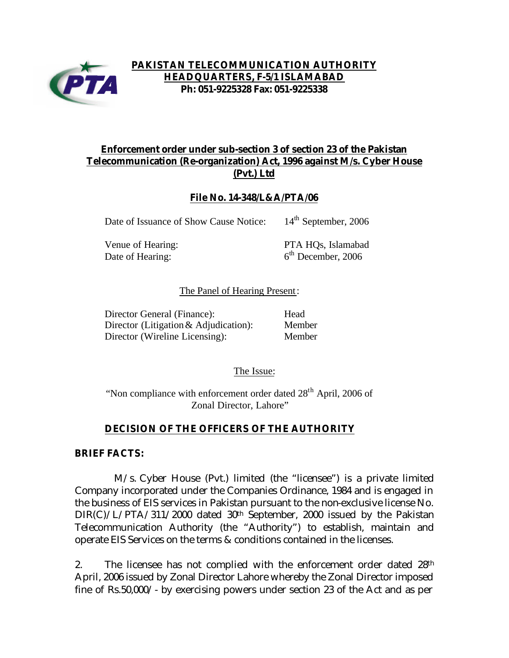

## **PAKISTAN TELECOMMUNICATION AUTHORITY HEADQUARTERS, F-5/1 ISLAMABAD Ph: 051-9225328 Fax: 051-9225338**

## **Enforcement order under sub-section 3 of section 23 of the Pakistan Telecommunication (Re-organization) Act, 1996 against M/s. Cyber House (Pvt.) Ltd**

## **File No. 14-348/L&A/PTA/06**

Date of Issuance of Show Cause Notice: 14<sup>th</sup> September, 2006

Date of Hearing:

Venue of Hearing: PTA HQs, Islamabad  $6<sup>th</sup>$  December, 2006

### The Panel of Hearing Present:

| Director General (Finance):             | Head   |
|-----------------------------------------|--------|
| Director (Litigation $&$ Adjudication): | Member |
| Director (Wireline Licensing):          | Member |

The Issue:

"Non compliance with enforcement order dated  $28<sup>th</sup>$  April, 2006 of Zonal Director, Lahore"

## **DECISION OF THE OFFICERS OF THE AUTHORITY**

## **BRIEF FACTS:**

 M/s. Cyber House (Pvt.) limited (the "licensee") is a private limited Company incorporated under the Companies Ordinance, 1984 and is engaged in the business of EIS services in Pakistan pursuant to the non-exclusive license No. DIR(C)/L/PTA/311/2000 dated 30<sup>th</sup> September, 2000 issued by the Pakistan Telecommunication Authority (the "Authority") to establish, maintain and operate EIS Services on the terms & conditions contained in the licenses.

2. The licensee has not complied with the enforcement order dated 28<sup>th</sup> April, 2006 issued by Zonal Director Lahore whereby the Zonal Director imposed fine of Rs.50,000/- by exercising powers under section 23 of the Act and as per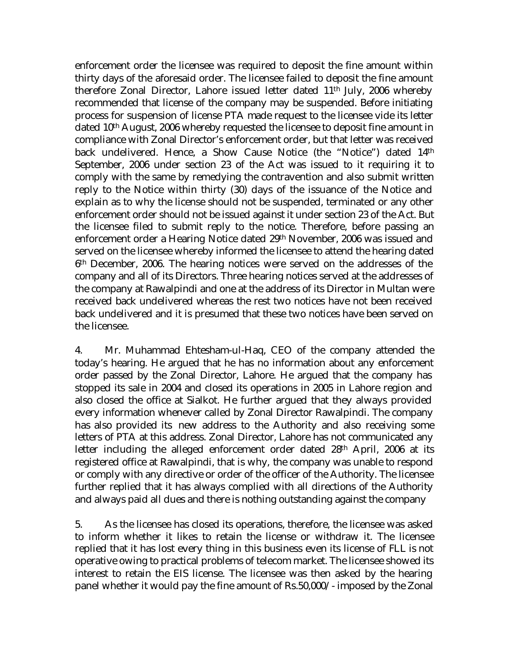enforcement order the licensee was required to deposit the fine amount within thirty days of the aforesaid order. The licensee failed to deposit the fine amount therefore Zonal Director, Lahore issued letter dated 11th July, 2006 whereby recommended that license of the company may be suspended. Before initiating process for suspension of license PTA made request to the licensee vide its letter dated 10th August, 2006 whereby requested the licensee to deposit fine amount in compliance with Zonal Director's enforcement order, but that letter was received back undelivered. Hence, a Show Cause Notice (the "Notice") dated 14th September, 2006 under section 23 of the Act was issued to it requiring it to comply with the same by remedying the contravention and also submit written reply to the Notice within thirty (30) days of the issuance of the Notice and explain as to why the license should not be suspended, terminated or any other enforcement order should not be issued against it under section 23 of the Act. But the licensee filed to submit reply to the notice. Therefore, before passing an enforcement order a Hearing Notice dated 29th November, 2006 was issued and served on the licensee whereby informed the licensee to attend the hearing dated 6th December, 2006. The hearing notices were served on the addresses of the company and all of its Directors. Three hearing notices served at the addresses of the company at Rawalpindi and one at the address of its Director in Multan were received back undelivered whereas the rest two notices have not been received back undelivered and it is presumed that these two notices have been served on the licensee.

4. Mr. Muhammad Ehtesham-ul-Haq, CEO of the company attended the today's hearing. He argued that he has no information about any enforcement order passed by the Zonal Director, Lahore. He argued that the company has stopped its sale in 2004 and closed its operations in 2005 in Lahore region and also closed the office at Sialkot. He further argued that they always provided every information whenever called by Zonal Director Rawalpindi. The company has also provided its new address to the Authority and also receiving some letters of PTA at this address. Zonal Director, Lahore has not communicated any letter including the alleged enforcement order dated 28th April, 2006 at its registered office at Rawalpindi, that is why, the company was unable to respond or comply with any directive or order of the officer of the Authority. The licensee further replied that it has always complied with all directions of the Authority and always paid all dues and there is nothing outstanding against the company

5. As the licensee has closed its operations, therefore, the licensee was asked to inform whether it likes to retain the license or withdraw it. The licensee replied that it has lost every thing in this business even its license of FLL is not operative owing to practical problems of telecom market. The licensee showed its interest to retain the EIS license. The licensee was then asked by the hearing panel whether it would pay the fine amount of Rs.50,000/- imposed by the Zonal